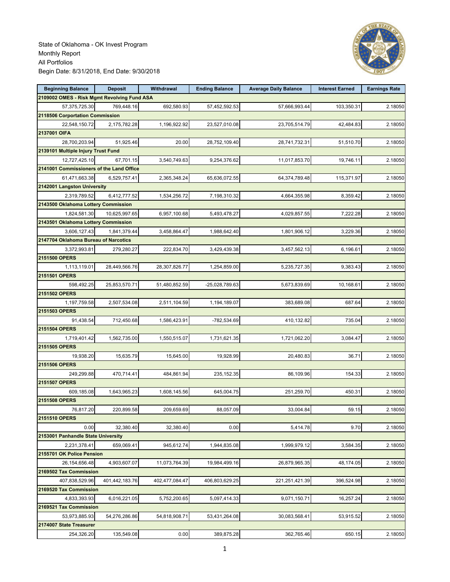State of Oklahoma - OK Invest Program Monthly Report All Portfolios Begin Date: 8/31/2018, End Date: 9/30/2018



| <b>Beginning Balance</b>                    | <b>Deposit</b> | <b>Withdrawal</b> | <b>Ending Balance</b> | <b>Average Daily Balance</b> | <b>Interest Earned</b> | <b>Earnings Rate</b> |
|---------------------------------------------|----------------|-------------------|-----------------------|------------------------------|------------------------|----------------------|
| 2109002 OMES - Risk Mgmt Revolving Fund ASA |                |                   |                       |                              |                        |                      |
| 57,375,725.30                               | 769,448.16     | 692.580.93        | 57.452.592.53         | 57,666,993.44                | 103,350.31             | 2.18050              |
| 2118506 Corportation Commission             |                |                   |                       |                              |                        |                      |
| 22,548,150.72                               | 2,175,782.28   | 1,196,922.92      | 23,527,010.08         | 23,705,514.79                | 42,484.83              | 2.18050              |
| 2137001 OIFA                                |                |                   |                       |                              |                        |                      |
| 28,700,203.94                               | 51,925.46      | 20.00             | 28,752,109.40         | 28,741,732.31                | 51,510.70              | 2.18050              |
| 2139101 Multiple Injury Trust Fund          |                |                   |                       |                              |                        |                      |
| 12,727,425.10                               | 67.701.15      | 3,540,749.63      | 9,254,376.62          | 11,017,853.70                | 19,746.11              | 2.18050              |
| 2141001 Commissioners of the Land Office    |                |                   |                       |                              |                        |                      |
| 61,471,663.38                               | 6,529,757.41   | 2,365,348.24      | 65,636,072.55         | 64,374,789.48                | 115,371.97             | 2.18050              |
| 2142001 Langston University                 |                |                   |                       |                              |                        |                      |
| 2,319,789.52                                | 6,412,777.52   | 1,534,256.72      | 7,198,310.32          | 4,664,355.98                 | 8,359.42               | 2.18050              |
| 2143500 Oklahoma Lottery Commission         |                |                   |                       |                              |                        |                      |
| 1,824,581.30                                | 10,625,997.65  | 6,957,100.68      | 5,493,478.27          | 4,029,857.55                 | 7,222.28               | 2.18050              |
| 2143501 Oklahoma Lottery Commission         |                |                   |                       |                              |                        |                      |
| 3,606,127.43                                | 1,841,379.44   | 3,458,864.47      | 1,988,642.40          | 1,801,906.12                 | 3.229.36               | 2.18050              |
| 2147704 Oklahoma Bureau of Narcotics        |                |                   |                       |                              |                        |                      |
| 3,372,993.81                                | 279,280.27     | 222,834.70        | 3,429,439.38          | 3,457,562.13                 | 6.196.61               | 2.18050              |
| 2151500 OPERS                               |                |                   |                       |                              |                        |                      |
| 1,113,119.01                                | 28,449,566.76  | 28,307,826.77     | 1,254,859.00          | 5,235,727.35                 | 9,383.43               | 2.18050              |
| 2151501 OPERS                               |                |                   |                       |                              |                        |                      |
| 598,492.25                                  | 25,853,570.71  | 51,480,852.59     | -25,028,789.63        | 5,673,839.69                 | 10,168.61              | 2.18050              |
| 2151502 OPERS                               |                |                   |                       |                              |                        |                      |
| 1,197,759.58                                | 2,507,534.08   | 2,511,104.59      | 1,194,189.07          | 383,689.08                   | 687.64                 | 2.18050              |
| 2151503 OPERS                               |                |                   |                       |                              |                        |                      |
|                                             |                |                   |                       |                              | 735.04                 |                      |
| 91,438.54<br>2151504 OPERS                  | 712,450.68     | 1,586,423.91      | -782,534.69           | 410,132.82                   |                        | 2.18050              |
|                                             |                |                   | 1,731,621.35          |                              |                        |                      |
| 1,719,401.42                                | 1,562,735.00   | 1,550,515.07      |                       | 1,721,062.20                 | 3,084.47               | 2.18050              |
| 2151505 OPERS                               |                |                   |                       |                              |                        |                      |
| 19,938.20                                   | 15,635.79      | 15,645.00         | 19,928.99             | 20,480.83                    | 36.71                  | 2.18050              |
| 2151506 OPERS                               |                |                   |                       |                              |                        |                      |
| 249,299.88                                  | 470,714.41     | 484,861.94        | 235, 152.35           | 86,109.96                    | 154.33                 | 2.18050              |
| 2151507 OPERS                               |                |                   |                       |                              |                        |                      |
| 609,185.08                                  | 1,643,965.23   | 1,608,145.56      | 645,004.75            | 251,259.70                   | 450.31                 | 2.18050              |
| 2151508 OPERS                               |                |                   |                       |                              |                        |                      |
| 76,817.20                                   | 220,899.58     | 209,659.69        | 88,057.09             | 33,004.84                    | 59.15                  | 2.18050              |
| 2151510 OPERS                               |                |                   |                       |                              |                        |                      |
| 0.00                                        | 32,380.40      | 32,380.40         | 0.00                  | 5,414.78                     | 9.70                   | 2.18050              |
| 2153001 Panhandle State University          |                |                   |                       |                              |                        |                      |
| 2,231,378.41                                | 659,069.41     | 945,612.74        | 1,944,835.08          | 1,999,979.12                 | 3,584.35               | 2.18050              |
| 2155701 OK Police Pension                   |                |                   |                       |                              |                        |                      |
| 26, 154, 656. 48                            | 4,903,607.07   | 11,073,764.39     | 19,984,499.16         | 26,879,965.35                | 48,174.05              | 2.18050              |
| 2169502 Tax Commission                      |                |                   |                       |                              |                        |                      |
| 407,838,529.96                              | 401,442,183.76 | 402,477,084.47    | 406,803,629.25        | 221,251,421.39               | 396,524.98             | 2.18050              |
| 2169520 Tax Commission                      |                |                   |                       |                              |                        |                      |
| 4,833,393.93                                | 6,016,221.05   | 5,752,200.65      | 5,097,414.33          | 9,071,150.71                 | 16,257.24              | 2.18050              |
| 2169521 Tax Commission                      |                |                   |                       |                              |                        |                      |
| 53,973,885.93                               | 54,276,286.86  | 54,818,908.71     | 53,431,264.08         | 30,083,568.41                | 53,915.52              | 2.18050              |
| 2174007 State Treasurer                     |                |                   |                       |                              |                        |                      |
| 254,326.20                                  | 135,549.08     | 0.00              | 389,875.28            | 362,765.46                   | 650.15                 | 2.18050              |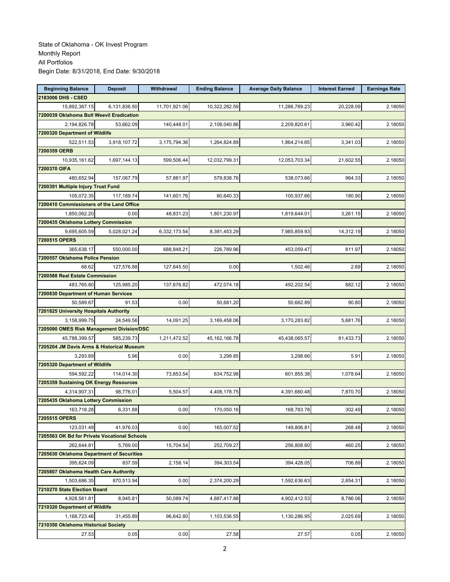| <b>Beginning Balance</b>                     | <b>Deposit</b> | Withdrawal    | <b>Ending Balance</b> | <b>Average Daily Balance</b> | <b>Interest Earned</b> | <b>Earnings Rate</b> |
|----------------------------------------------|----------------|---------------|-----------------------|------------------------------|------------------------|----------------------|
| 2183006 DHS - CSED                           |                |               |                       |                              |                        |                      |
| 15,892,367.15                                | 6,131,836.50   | 11,701,921.06 | 10,322,282.59         | 11,286,789.23                | 20,228.09              | 2.18050              |
| 7200039 Oklahoma Boll Weevil Eradication     |                |               |                       |                              |                        |                      |
| 2,194,826.78                                 | 53,662.09      | 140,448.01    | 2,108,040.86          | 2,209,820.61                 | 3,960.42               | 2.18050              |
| 7200320 Department of Wildlife               |                |               |                       |                              |                        |                      |
| 522,511.53                                   | 3,918,107.72   | 3,175,794.36  | 1,264,824.89          | 1,864,214.65                 | 3,341.03               | 2.18050              |
| 7200359 OERB                                 |                |               |                       |                              |                        |                      |
| 10,935,161.62                                | 1,697,144.13   | 599,506.44    | 12,032,799.31         | 12,053,703.34                | 21.602.55              | 2.18050              |
| 7200370 OIFA                                 |                |               |                       |                              |                        |                      |
| 480,652.94                                   | 157,067.79     | 57,881.97     | 579.838.76            | 538,073.66                   | 964.33                 | 2.18050              |
| 7200391 Multiple Injury Trust Fund           |                |               |                       |                              |                        |                      |
| 105,072.35                                   | 117,169.74     | 141,601.76    | 80,640.33             | 100,937.66                   | 180.90                 | 2.18050              |
| 7200410 Commissioners of the Land Office     |                |               |                       |                              |                        |                      |
| 1,850,062.20                                 | 0.00           | 48,831.23     | 1,801,230.97          | 1,819,644.01                 | 3,261.15               | 2.18050              |
| 7200435 Oklahoma Lottery Commission          |                |               |                       |                              |                        |                      |
| 9,695,605.59                                 | 5,028,021.24   | 6,332,173.54  | 8,391,453.29          | 7,985,859.93                 | 14,312.19              | 2.18050              |
| 7200515 OPERS                                |                |               |                       |                              |                        |                      |
| 365,638.17                                   | 550,000.00     | 688,848.21    | 226,789.96            | 453,059.47                   | 811.97                 | 2.18050              |
| 7200557 Oklahoma Police Pension              |                |               |                       |                              |                        |                      |
| 68.62                                        | 127,576.88     | 127,645.50    | 0.00                  | 1.502.46                     | 2.69                   | 2.18050              |
| 7200588 Real Estate Commission               |                |               |                       |                              |                        |                      |
| 483,765.80                                   | 125,985.20     | 137,676.82    | 472,074.18            | 492,202.54                   | 882.12                 | 2.18050              |
| 7200830 Department of Human Services         |                |               |                       |                              |                        |                      |
| 50,589.67                                    | 91.53          | 0.00          | 50,681.20             | 50,662.89                    | 90.80                  | 2.18050              |
| 7201825 University Hospitals Authority       |                |               |                       |                              |                        |                      |
| 3,158,999.75                                 | 24,549.56      | 14,091.25     | 3,169,458.06          | 3,170,283.82                 | 5,681.76               | 2.18050              |
| 7205090 OMES Risk Management Division/DSC    |                |               |                       |                              |                        |                      |
| 45,788,399.57                                | 585,239.73     | 1,211,472.52  | 45, 162, 166. 78      | 45,438,065.57                | 81,433.73              | 2.18050              |
| 7205204 JM Davis Arms & Historical Museum    |                |               |                       |                              |                        |                      |
| 3,293.89                                     | 5.96           | 0.00          | 3,299.85              | 3,298.66                     | 5.91                   | 2.18050              |
| 7205320 Department of Wildlife               |                |               |                       |                              |                        |                      |
| 594,592.22                                   | 114,014.30     | 73,853.54     | 634,752.98            | 601,855.38                   | 1,078.64               | 2.18050              |
| 7205359 Sustaining OK Energy Resources       |                |               |                       |                              |                        |                      |
| 4,314,907.31                                 | 98.776.01      | 5,504.57      | 4,408,178.75          | 4,391,660.48                 | 7,870.70               | 2.18050              |
| 7205435 Oklahoma Lottery Commission          |                |               |                       |                              |                        |                      |
| 163,718.28                                   | 6,331.88       | 0.00          | 170,050.16            | 168,783.78                   | 302.49                 | 2.18050              |
| 7205515 OPERS                                |                |               |                       |                              |                        |                      |
| 123.031.49                                   | 41,976.03      | 0.00          | 165,007.52            | 149,806.81                   | 268.48                 | 2.18050              |
| 7205563 OK Bd for Private Vocational Schools |                |               |                       |                              |                        |                      |
| 262,644.81                                   | 5,769.00       | 15,704.54     | 252,709.27            | 256,808.60                   | 460.25                 | 2.18050              |
| 7205630 Oklahoma Department of Securities    |                |               |                       |                              |                        |                      |
| 395,624.09                                   | 837.59         | 2,158.14      | 394,303.54            | 394,428.05                   | 706.89                 | 2.18050              |
| 7205807 Oklahoma Health Care Authority       |                |               |                       |                              |                        |                      |
| 1,503,686.35                                 | 870,513.94     | 0.00          | 2,374,200.29          | 1,592,636.63                 | 2,854.31               | 2.18050              |
| 7210270 State Election Board                 |                |               |                       |                              |                        |                      |
| 4,928,561.81                                 | 8,945.81       | 50,089.74     | 4,887,417.88          | 4,902,412.53                 | 8,786.06               | 2.18050              |
| 7210320 Department of Wildlife               |                |               |                       |                              |                        |                      |
| 1,168,723.46                                 | 31,455.89      | 96,642.80     | 1,103,536.55          | 1,130,286.95                 | 2,025.69               | 2.18050              |
| 7210350 Oklahoma Historical Society          |                |               |                       |                              |                        |                      |
| 27.53                                        | 0.05           | 0.00          | 27.58                 | 27.57                        | 0.05                   | 2.18050              |
|                                              |                |               |                       |                              |                        |                      |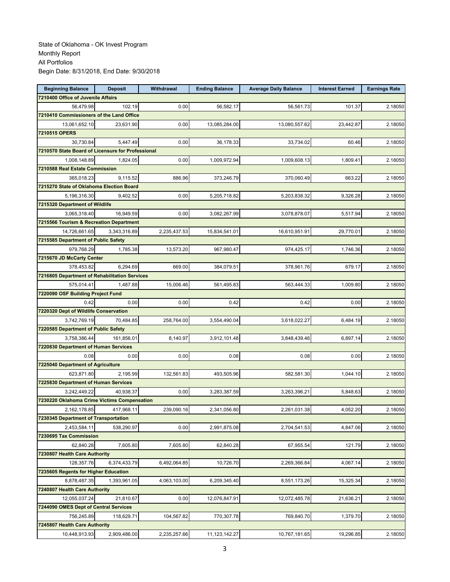| <b>Beginning Balance</b>                                    | <b>Deposit</b> | <b>Withdrawal</b> | <b>Ending Balance</b> | <b>Average Daily Balance</b> | <b>Interest Earned</b> | <b>Earnings Rate</b> |
|-------------------------------------------------------------|----------------|-------------------|-----------------------|------------------------------|------------------------|----------------------|
| 7210400 Office of Juvenile Affairs                          |                |                   |                       |                              |                        |                      |
| 56,479.98                                                   | 102.19         | 0.00              | 56.582.17             | 56,561.73                    | 101.37                 | 2.18050              |
| 7210410 Commissioners of the Land Office                    |                |                   |                       |                              |                        |                      |
| 13,061,652.10                                               | 23,631.90      | 0.00              | 13,085,284.00         | 13,080,557.62                | 23,442.87              | 2.18050              |
| 7210515 OPERS                                               |                |                   |                       |                              |                        |                      |
| 30,730.84                                                   | 5,447.49       | 0.00              | 36,178.33             | 33,734.02                    | 60.46                  | 2.18050              |
| 7210570 State Board of Licensure for Professional           |                |                   |                       |                              |                        |                      |
| 1,008,148.89                                                | 1,824.05       | 0.00              | 1,009,972.94          | 1,009,608.13                 | 1,809.41               | 2.18050              |
| 7210588 Real Estate Commission                              |                |                   |                       |                              |                        |                      |
| 365.018.23                                                  | 9,115.52       | 886.96            | 373,246.79            | 370,060.49                   | 663.22                 | 2.18050              |
| 7215270 State of Oklahoma Election Board                    |                |                   |                       |                              |                        |                      |
| 5,196,316.30                                                | 9,402.52       | 0.00              | 5,205,718.82          | 5,203,838.32                 | 9,326.28               | 2.18050              |
| 7215320 Department of Wildlife                              |                |                   |                       |                              |                        |                      |
| 3,065,318.40                                                | 16,949.59      | 0.00              | 3,082,267.99          | 3,078,878.07                 | 5,517.94               | 2.18050              |
| 7215566 Tourism & Recreation Department                     |                |                   |                       |                              |                        |                      |
| 14,726,661.65                                               | 3.343.316.89   | 2,235,437.53      | 15,834,541.01         | 16,610,951.91                | 29,770.01              | 2.18050              |
| 7215585 Department of Public Safety                         |                |                   |                       |                              |                        |                      |
| 979,768.29                                                  | 1,785.38       | 13,573.20         | 967,980.47            | 974,425.17                   | 1,746.36               | 2.18050              |
| 7215670 JD McCarty Center                                   |                |                   |                       |                              |                        |                      |
| 378,453.82                                                  | 6.294.69       | 669.00            | 384,079.51            | 378,961.76                   | 679.17                 | 2.18050              |
| 7216805 Department of Rehabilitation Services               |                |                   |                       |                              |                        |                      |
| 575,014.41                                                  | 1.487.88       | 15,006.46         | 561,495.83            | 563,444.33                   | 1,009.80               | 2.18050              |
| 7220090 OSF Building Project Fund                           |                |                   |                       |                              |                        |                      |
| 0.42                                                        | 0.00           | 0.00              | 0.42                  | 0.42                         | 0.00                   | 2.18050              |
| 7220320 Dept of Wildlife Conservation                       |                |                   |                       |                              |                        |                      |
| 3,742,769.19                                                | 70,484.85      | 258,764.00        | 3,554,490.04          | 3,618,022.27                 | 6,484.19               | 2.18050              |
| 7220585 Department of Public Safety                         |                |                   |                       |                              |                        |                      |
| 3,758,386.44                                                | 161,856.01     | 8,140.97          | 3,912,101.48          | 3,848,439.46                 | 6,897.14               | 2.18050              |
| 7220830 Department of Human Services                        |                |                   |                       |                              |                        |                      |
| 0.08                                                        | 0.00           | 0.00              | 0.08                  | 0.08                         | 0.00                   |                      |
| 7225040 Department of Agriculture                           |                |                   |                       |                              |                        | 2.18050              |
| 623,871.80                                                  | 2,195.99       | 132,561.83        |                       |                              |                        |                      |
|                                                             |                |                   | 493,505.96            | 582,581.30                   | 1,044.10               | 2.18050              |
| 7225830 Department of Human Services                        |                |                   |                       |                              |                        |                      |
| 3,242,449.22<br>7230220 Oklahoma Crime Victims Compensation | 40,938.37      | 0.00              | 3,283,387.59          | 3,263,396.21                 | 5.848.63               | 2.18050              |
|                                                             |                |                   |                       |                              |                        |                      |
| 2,162,178.85                                                | 417,968.11     | 239,090.16        | 2,341,056.80          | 2,261,031.38                 | 4,052.20               | 2.18050              |
| 7230345 Department of Transportation                        |                |                   |                       |                              |                        |                      |
| 2,453,584.11                                                | 538,290.97     | 0.00              | 2,991,875.08          | 2,704,541.53                 | 4,847.06               | 2.18050              |
| 7230695 Tax Commission                                      |                |                   |                       |                              |                        |                      |
| 62,840.28                                                   | 7,605.80       | 7,605.80          | 62,840.28             | 67,955.54                    | 121.79                 | 2.18050              |
| 7230807 Health Care Authority                               |                |                   |                       |                              |                        |                      |
| 128,357.76                                                  | 6,374,433.79   | 6,492,064.85      | 10,726.70             | 2,269,366.84                 | 4,067.14               | 2.18050              |
| 7235605 Regents for Higher Education                        |                |                   |                       |                              |                        |                      |
| 8,878,487.35                                                | 1,393,961.05   | 4,063,103.00      | 6,209,345.40          | 8,551,173.26                 | 15,325.34              | 2.18050              |
| 7240807 Health Care Authority                               |                |                   |                       |                              |                        |                      |
| 12,055,037.24                                               | 21,810.67      | 0.00              | 12,076,847.91         | 12,072,485.78                | 21,636.21              | 2.18050              |
| 7244090 OMES Dept of Central Services                       |                |                   |                       |                              |                        |                      |
| 756,245.89                                                  | 118,629.71     | 104,567.82        | 770,307.78            | 769,840.70                   | 1,379.70               | 2.18050              |
| 7245807 Health Care Authority                               |                |                   |                       |                              |                        |                      |
| 10,448,913.93                                               | 2,909,486.00   | 2,235,257.66      | 11,123,142.27         | 10,767,181.65                | 19,296.85              | 2.18050              |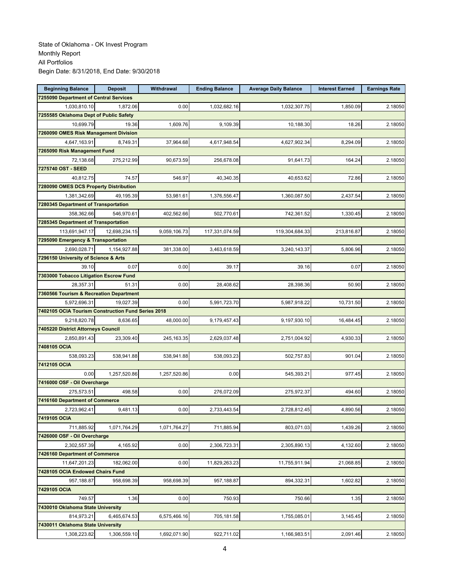| <b>Beginning Balance</b>                           | <b>Deposit</b> | Withdrawal   | <b>Ending Balance</b> | <b>Average Daily Balance</b> | <b>Interest Earned</b> | <b>Earnings Rate</b> |
|----------------------------------------------------|----------------|--------------|-----------------------|------------------------------|------------------------|----------------------|
| 7255090 Department of Central Services             |                |              |                       |                              |                        |                      |
| 1,030,810.10                                       | 1,872.06       | 0.00         | 1,032,682.16          | 1,032,307.75                 | 1,850.09               | 2.18050              |
| 7255585 Oklahoma Dept of Public Safety             |                |              |                       |                              |                        |                      |
| 10,699.79                                          | 19.36          | 1.609.76     | 9,109.39              | 10,188.30                    | 18.26                  | 2.18050              |
| 7260090 OMES Risk Management Division              |                |              |                       |                              |                        |                      |
| 4,647,163.91                                       | 8,749.31       | 37,964.68    | 4,617,948.54          | 4,627,902.34                 | 8,294.09               | 2.18050              |
| 7265090 Risk Management Fund                       |                |              |                       |                              |                        |                      |
| 72,138.68                                          | 275,212.99     | 90,673.59    | 256,678.08            | 91,641.73                    | 164.24                 | 2.18050              |
| 7275740 OST - SEED                                 |                |              |                       |                              |                        |                      |
| 40.812.75                                          | 74.57          | 546.97       | 40,340.35             | 40,653.62                    | 72.86                  | 2.18050              |
| 7280090 OMES DCS Property Distribution             |                |              |                       |                              |                        |                      |
| 1,381,342.69                                       | 49,195.39      | 53,981.61    | 1,376,556.47          | 1,360,087.50                 | 2,437.54               | 2.18050              |
| 7280345 Department of Transportation               |                |              |                       |                              |                        |                      |
| 358,362.66                                         | 546,970.61     | 402,562.66   | 502,770.61            | 742,361.52                   | 1,330.45               | 2.18050              |
| 7285345 Department of Transportation               |                |              |                       |                              |                        |                      |
| 113,691,947.17                                     | 12,698,234.15  | 9,059,106.73 | 117,331,074.59        | 119,304,684.33               | 213,816.87             | 2.18050              |
| 7295090 Emergency & Transportation                 |                |              |                       |                              |                        |                      |
| 2,690,028.71                                       | 1,154,927.88   | 381,338.00   | 3,463,618.59          | 3,240,143.37                 | 5,806.96               | 2.18050              |
| 7296150 University of Science & Arts               |                |              |                       |                              |                        |                      |
| 39.10                                              | 0.07           | 0.00         | 39.17                 | 39.16                        | 0.07                   | 2.18050              |
| 7303000 Tobacco Litigation Escrow Fund             |                |              |                       |                              |                        |                      |
| 28,357.31                                          | 51.31          | 0.00         | 28,408.62             | 28,398.36                    | 50.90                  | 2.18050              |
| 7360566 Tourism & Recreation Department            |                |              |                       |                              |                        |                      |
| 5,972,696.31                                       | 19,027.39      | 0.00         | 5,991,723.70          | 5,987,918.22                 | 10,731.50              | 2.18050              |
| 7402105 OCIA Tourism Construction Fund Series 2018 |                |              |                       |                              |                        |                      |
| 9,218,820.78                                       | 8,636.65       | 48,000.00    | 9,179,457.43          | 9,197,930.10                 | 16,484.45              | 2.18050              |
| 7405220 District Attorneys Council                 |                |              |                       |                              |                        |                      |
| 2,850,891.43                                       | 23,309.40      | 245, 163. 35 | 2,629,037.48          | 2,751,004.92                 | 4,930.33               | 2.18050              |
| 7408105 OCIA                                       |                |              |                       |                              |                        |                      |
| 538,093.23                                         | 538,941.88     | 538,941.88   | 538,093.23            | 502,757.83                   | 901.04                 | 2.18050              |
| 7412105 OCIA                                       |                |              |                       |                              |                        |                      |
| 0.00                                               | 1,257,520.86   | 1,257,520.86 | 0.00                  | 545,393.21                   | 977.45                 | 2.18050              |
| 7416000 OSF - Oil Overcharge                       |                |              |                       |                              |                        |                      |
| 275,573.51                                         | 498.58         | 0.00         | 276,072.09            | 275,972.37                   | 494.60                 | 2.18050              |
| 7416160 Department of Commerce                     |                |              |                       |                              |                        |                      |
| 2,723,962.41                                       | 9,481.13       | 0.00         | 2,733,443.54          | 2,728,812.45                 | 4,890.56               | 2.18050              |
| 7419105 OCIA                                       |                |              |                       |                              |                        |                      |
| 711.885.92                                         | 1,071,764.29   | 1,071,764.27 | 711,885.94            | 803,071.03                   | 1,439.26               | 2.18050              |
| 7426000 OSF - Oil Overcharge                       |                |              |                       |                              |                        |                      |
| 2,302,557.39                                       | 4,165.92       | 0.00         | 2,306,723.31          | 2,305,890.13                 | 4,132.60               | 2.18050              |
| 7426160 Department of Commerce                     |                |              |                       |                              |                        |                      |
| 11,647,201.23                                      | 182,062.00     | 0.00         | 11,829,263.23         | 11,755,911.94                | 21,068.85              | 2.18050              |
| 7428105 OCIA Endowed Chairs Fund                   |                |              |                       |                              |                        |                      |
| 957,188.87                                         | 958,698.39     | 958,698.39   | 957,188.87            | 894,332.31                   | 1,602.82               | 2.18050              |
| 7429105 OCIA                                       |                |              |                       |                              |                        |                      |
| 749.57                                             | 1.36           | 0.00         | 750.93                | 750.66                       | 1.35                   | 2.18050              |
| 7430010 Oklahoma State University                  |                |              |                       |                              |                        |                      |
| 814,973.21                                         | 6,465,674.53   | 6,575,466.16 | 705,181.58            | 1,755,085.01                 | 3,145.45               | 2.18050              |
| 7430011 Oklahoma State University                  |                |              |                       |                              |                        |                      |
| 1,308,223.82                                       | 1,306,559.10   | 1,692,071.90 | 922,711.02            | 1,166,983.51                 | 2,091.46               | 2.18050              |
|                                                    |                |              |                       |                              |                        |                      |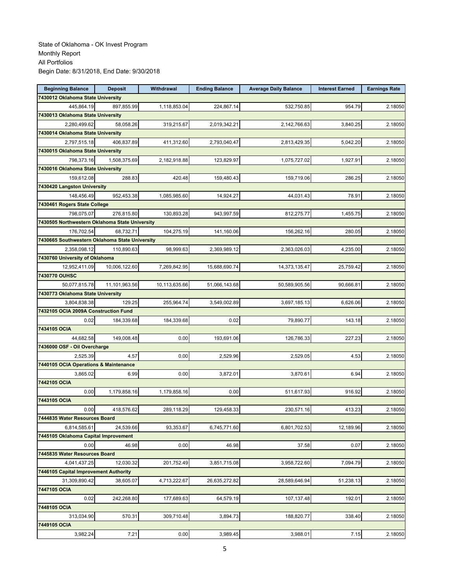| <b>Beginning Balance</b>                       | <b>Deposit</b> | Withdrawal    | <b>Ending Balance</b> | <b>Average Daily Balance</b> | <b>Interest Earned</b> | <b>Earnings Rate</b> |
|------------------------------------------------|----------------|---------------|-----------------------|------------------------------|------------------------|----------------------|
| 7430012 Oklahoma State University              |                |               |                       |                              |                        |                      |
| 445.864.19                                     | 897,855.99     | 1,118,853.04  | 224,867.14            | 532,750.85                   | 954.79                 | 2.18050              |
| 7430013 Oklahoma State University              |                |               |                       |                              |                        |                      |
| 2,280,499.62                                   | 58,058.26      | 319,215.67    | 2,019,342.21          | 2,142,766.63                 | 3,840.25               | 2.18050              |
| 7430014 Oklahoma State University              |                |               |                       |                              |                        |                      |
| 2,797,515.18                                   | 406,837.89     | 411,312.60    | 2,793,040.47          | 2,813,429.35                 | 5,042.20               | 2.18050              |
| 7430015 Oklahoma State University              |                |               |                       |                              |                        |                      |
| 798,373.16                                     | 1,508,375.69   | 2,182,918.88  | 123,829.97            | 1,075,727.02                 | 1,927.91               | 2.18050              |
| 7430016 Oklahoma State University              |                |               |                       |                              |                        |                      |
| 159,612.08                                     | 288.83         | 420.48        | 159,480.43            | 159,719.06                   | 286.25                 | 2.18050              |
| 7430420 Langston University                    |                |               |                       |                              |                        |                      |
| 148,456.49                                     | 952,453.38     | 1,085,985.60  | 14,924.27             | 44,031.43                    | 78.91                  | 2.18050              |
| 7430461 Rogers State College                   |                |               |                       |                              |                        |                      |
| 798,075.07                                     | 276,815.80     | 130,893.28    | 943,997.59            | 812,275.77                   | 1,455.75               | 2.18050              |
| 7430505 Northwestern Oklahoma State University |                |               |                       |                              |                        |                      |
| 176,702.54                                     | 68,732.71      | 104,275.19    | 141,160.06            | 156,262.16                   | 280.05                 | 2.18050              |
| 7430665 Southwestern Oklahoma State University |                |               |                       |                              |                        |                      |
| 2,358,098.12                                   | 110,890.63     | 98,999.63     | 2,369,989.12          | 2,363,026.03                 | 4,235.00               | 2.18050              |
| 7430760 University of Oklahoma                 |                |               |                       |                              |                        |                      |
| 12,952,411.09                                  | 10,006,122.60  | 7,269,842.95  | 15,688,690.74         | 14,373,135.47                | 25,759.42              | 2.18050              |
| 7430770 OUHSC                                  |                |               |                       |                              |                        |                      |
| 50,077,815.78                                  | 11,101,963.56  | 10,113,635.66 | 51,066,143.68         | 50,589,905.56                | 90,666.81              | 2.18050              |
| 7430773 Oklahoma State University              |                |               |                       |                              |                        |                      |
| 3,804,838.38                                   | 129.25         | 255,964.74    | 3,549,002.89          | 3,697,185.13                 | 6,626.06               | 2.18050              |
| 7432105 OCIA 2009A Construction Fund           |                |               |                       |                              |                        |                      |
| 0.02                                           | 184,339.68     | 184,339.68    | 0.02                  | 79,890.77                    | 143.18                 | 2.18050              |
| 7434105 OCIA                                   |                |               |                       |                              |                        |                      |
| 44,682.58                                      | 149,008.48     | 0.00          | 193,691.06            | 126,786.33                   | 227.23                 | 2.18050              |
| 7436000 OSF - Oil Overcharge                   |                |               |                       |                              |                        |                      |
| 2,525.39                                       | 4.57           | 0.00          | 2,529.96              | 2,529.05                     | 4.53                   | 2.18050              |
| 7440105 OCIA Operations & Maintenance          |                |               |                       |                              |                        |                      |
| 3,865.02                                       | 6.99           | 0.00          | 3,872.01              | 3,870.61                     | 6.94                   | 2.18050              |
| 7442105 OCIA                                   |                |               |                       |                              |                        |                      |
| 0.00                                           | 1,179,858.16   | 1,179,858.16  | 0.00                  | 511,617.93                   | 916.92                 | 2.18050              |
| 7443105 OCIA                                   |                |               |                       |                              |                        |                      |
| 0.00                                           | 418,576.62     | 289,118.29    | 129,458.33            | 230,571.16                   | 413.23                 | 2.18050              |
| 7444835 Water Resources Board                  |                |               |                       |                              |                        |                      |
| 6,814,585.61                                   | 24,539.66      | 93,353.67     | 6,745,771.60          | 6,801,702.53                 | 12.189.96              | 2.18050              |
| 7445105 Oklahoma Capital Improvement           |                |               |                       |                              |                        |                      |
| 0.00                                           | 46.98          | 0.00          | 46.98                 | 37.58                        | 0.07                   | 2.18050              |
| 7445835 Water Resources Board                  |                |               |                       |                              |                        |                      |
| 4,041,437.25                                   | 12.030.32      | 201,752.49    | 3,851,715.08          | 3,958,722.60                 | 7,094.79               | 2.18050              |
| 7446105 Capital Improvement Authority          |                |               |                       |                              |                        |                      |
| 31,309,890.42                                  | 38,605.07      | 4,713,222.67  | 26,635,272.82         | 28,589,646.94                | 51,238.13              | 2.18050              |
| 7447105 OCIA                                   |                |               |                       |                              |                        |                      |
| 0.02                                           | 242,268.80     | 177,689.63    | 64,579.19             | 107,137.48                   | 192.01                 | 2.18050              |
| 7448105 OCIA                                   |                |               |                       |                              |                        |                      |
| 313,034.90                                     | 570.31         | 309,710.48    | 3,894.73              | 188,820.77                   | 338.40                 | 2.18050              |
| 7449105 OCIA                                   |                |               |                       |                              |                        |                      |
| 3,982.24                                       | 7.21           | 0.00          | 3,989.45              | 3,988.01                     | 7.15                   | 2.18050              |
|                                                |                |               |                       |                              |                        |                      |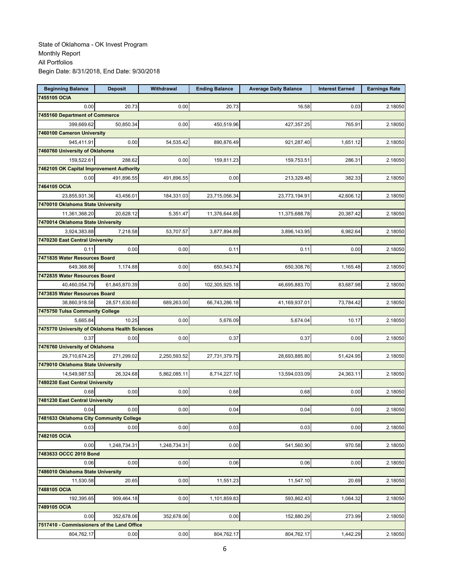| <b>Beginning Balance</b>                       | <b>Deposit</b> | Withdrawal   | <b>Ending Balance</b> | <b>Average Daily Balance</b> | <b>Interest Earned</b> | <b>Earnings Rate</b> |
|------------------------------------------------|----------------|--------------|-----------------------|------------------------------|------------------------|----------------------|
| 7455105 OCIA                                   |                |              |                       |                              |                        |                      |
| 0.00                                           | 20.73          | 0.00         | 20.73                 | 16.58                        | 0.03                   | 2.18050              |
| 7455160 Department of Commerce                 |                |              |                       |                              |                        |                      |
| 399,669.62                                     | 50,850.34      | 0.00         | 450,519.96            | 427,357.25                   | 765.91                 | 2.18050              |
| 7460100 Cameron University                     |                |              |                       |                              |                        |                      |
| 945,411.91                                     | 0.00           | 54,535.42    | 890,876.49            | 921,287.40                   | 1,651.12               | 2.18050              |
| 7460760 University of Oklahoma                 |                |              |                       |                              |                        |                      |
| 159,522.61                                     | 288.62         | 0.00         | 159,811.23            | 159,753.51                   | 286.31                 | 2.18050              |
| 7462105 OK Capital Improvement Authority       |                |              |                       |                              |                        |                      |
| 0.00                                           | 491,896.55     | 491,896.55   | 0.00                  | 213,329.48                   | 382.33                 | 2.18050              |
| 7464105 OCIA                                   |                |              |                       |                              |                        |                      |
| 23,855,931.36                                  | 43,456.01      | 184,331.03   | 23,715,056.34         | 23,773,194.91                | 42,606.12              | 2.18050              |
| 7470010 Oklahoma State University              |                |              |                       |                              |                        |                      |
| 11,361,368.20                                  | 20,628.12      | 5,351.47     | 11,376,644.85         | 11,375,688.78                | 20,387.42              | 2.18050              |
| 7470014 Oklahoma State University              |                |              |                       |                              |                        |                      |
| 3,924,383.88                                   | 7,218.58       | 53,707.57    | 3,877,894.89          | 3,896,143.95                 | 6,982.64               | 2.18050              |
| 7470230 East Central University                |                |              |                       |                              |                        |                      |
| 0.11                                           | 0.00           | 0.00         | 0.11                  | 0.11                         | 0.00                   | 2.18050              |
| 7471835 Water Resources Board                  |                |              |                       |                              |                        |                      |
| 649,368.86                                     | 1,174.88       | 0.00         | 650,543.74            | 650,308.76                   | 1,165.48               | 2.18050              |
| 7472835 Water Resources Board                  |                |              |                       |                              |                        |                      |
| 40,460,054.79                                  | 61,845,870.39  | 0.00         | 102,305,925.18        | 46,695,883.70                | 83,687.98              | 2.18050              |
| 7473835 Water Resources Board                  |                |              |                       |                              |                        |                      |
| 38,860,918.58                                  | 28,571,630.60  | 689,263.00   | 66,743,286.18         | 41,169,937.01                | 73,784.42              | 2.18050              |
| 7475750 Tulsa Community College                |                |              |                       |                              |                        |                      |
| 5,665.84                                       | 10.25          | 0.00         | 5,676.09              | 5,674.04                     | 10.17                  | 2.18050              |
| 7475770 University of Oklahoma Health Sciences |                |              |                       |                              |                        |                      |
| 0.37                                           | 0.00           | 0.00         | 0.37                  | 0.37                         | 0.00                   | 2.18050              |
| 7476760 University of Oklahoma                 |                |              |                       |                              |                        |                      |
| 29,710,674.25                                  | 271,299.02     | 2,250,593.52 | 27,731,379.75         | 28,693,885.80                | 51,424.95              | 2.18050              |
| 7479010 Oklahoma State University              |                |              |                       |                              |                        |                      |
| 14,549,987.53                                  | 26,324.68      | 5,862,085.11 | 8,714,227.10          | 13,594,033.09                | 24,363.11              | 2.18050              |
| 7480230 East Central University                |                |              |                       |                              |                        |                      |
| 0.68                                           | 0.00           | 0.00         | 0.68                  | 0.68                         | 0.00                   | 2.18050              |
| 7481230 East Central University                |                |              |                       |                              |                        |                      |
| 0.04                                           | 0.00           | 0.00         | 0.04                  | 0.04                         | 0.00                   | 2.18050              |
| 7481633 Oklahoma City Community College        |                |              |                       |                              |                        |                      |
| 0.03                                           | 0.00           | 0.00         | 0.03                  | 0.03                         | 0.00                   | 2.18050              |
| 7482105 OCIA                                   |                |              |                       |                              |                        |                      |
| 0.00                                           | 1,248,734.31   | 1,248,734.31 | 0.00                  | 541,560.90                   | 970.58                 | 2.18050              |
| 7483633 OCCC 2010 Bond                         |                |              |                       |                              |                        |                      |
| 0.06                                           | 0.00           | 0.00         | 0.06                  | 0.06                         | 0.00                   | 2.18050              |
| 7486010 Oklahoma State University              |                |              |                       |                              |                        |                      |
| 11,530.58                                      | 20.65          | 0.00         | 11,551.23             | 11,547.10                    | 20.69                  | 2.18050              |
| 7488105 OCIA                                   |                |              |                       |                              |                        |                      |
| 192,395.65                                     | 909,464.18     | 0.00         | 1,101,859.83          | 593,862.43                   | 1,064.32               | 2.18050              |
| 7489105 OCIA                                   |                |              |                       |                              |                        |                      |
| 0.00                                           | 352,678.06     | 352,678.06   | 0.00                  | 152,880.29                   | 273.99                 | 2.18050              |
| 7517410 - Commissioners of the Land Office     |                |              |                       |                              |                        |                      |
| 804,762.17                                     | 0.00           | 0.00         | 804,762.17            | 804,762.17                   | 1,442.29               | 2.18050              |
|                                                |                |              |                       |                              |                        |                      |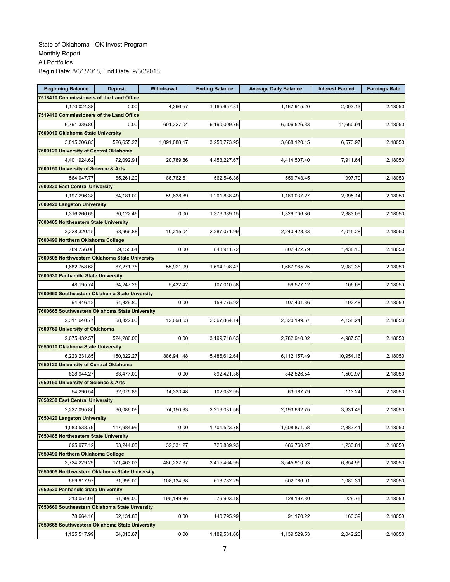| <b>Beginning Balance</b>                       | <b>Deposit</b> | Withdrawal   | <b>Ending Balance</b> | <b>Average Daily Balance</b> | <b>Interest Earned</b> | <b>Earnings Rate</b> |
|------------------------------------------------|----------------|--------------|-----------------------|------------------------------|------------------------|----------------------|
| 7518410 Commissioners of the Land Office       |                |              |                       |                              |                        |                      |
| 1,170,024.38                                   | 0.00           | 4,366.57     | 1,165,657.81          | 1,167,915.20                 | 2,093.13               | 2.18050              |
| 7519410 Commissioners of the Land Office       |                |              |                       |                              |                        |                      |
| 6,791,336.80                                   | 0.00           | 601,327.04   | 6,190,009.76          | 6,506,526.33                 | 11,660.94              | 2.18050              |
| 7600010 Oklahoma State University              |                |              |                       |                              |                        |                      |
| 3,815,206.85                                   | 526,655.27     | 1,091,088.17 | 3,250,773.95          | 3,668,120.15                 | 6,573.97               | 2.18050              |
| 7600120 University of Central Oklahoma         |                |              |                       |                              |                        |                      |
| 4,401,924.62                                   | 72,092.91      | 20,789.86    | 4,453,227.67          | 4,414,507.40                 | 7,911.64               | 2.18050              |
| 7600150 University of Science & Arts           |                |              |                       |                              |                        |                      |
| 584,047.77                                     | 65,261.20      | 86,762.61    | 562,546.36            | 556,743.45                   | 997.79                 | 2.18050              |
| 7600230 East Central University                |                |              |                       |                              |                        |                      |
| 1,197,296.38                                   | 64,181.00      | 59,638.89    | 1,201,838.49          | 1,169,037.27                 | 2,095.14               | 2.18050              |
| 7600420 Langston University                    |                |              |                       |                              |                        |                      |
| 1,316,266.69                                   | 60,122.46      | 0.00         | 1,376,389.15          | 1,329,706.86                 | 2,383.09               | 2.18050              |
| 7600485 Northeastern State University          |                |              |                       |                              |                        |                      |
| 2,228,320.15                                   | 68,966.88      | 10,215.04    | 2,287,071.99          | 2,240,428.33                 | 4,015.28               | 2.18050              |
| 7600490 Northern Oklahoma College              |                |              |                       |                              |                        |                      |
| 789,756.08                                     | 59,155.64      | 0.00         | 848,911.72            | 802,422.79                   | 1.438.10               | 2.18050              |
| 7600505 Northwestern Oklahoma State University |                |              |                       |                              |                        |                      |
| 1,682,758.68                                   | 67,271.78      | 55,921.99    | 1,694,108.47          | 1,667,985.25                 | 2,989.35               | 2.18050              |
| 7600530 Panhandle State University             |                |              |                       |                              |                        |                      |
| 48.195.74                                      | 64,247.26      | 5,432.42     | 107,010.58            | 59,527.12                    | 106.68                 | 2.18050              |
| 7600660 Southeastern Oklahoma State Unversity  |                |              |                       |                              |                        |                      |
| 94,446.12                                      | 64,329.80      | 0.00         | 158,775.92            | 107,401.36                   | 192.48                 | 2.18050              |
| 7600665 Southwestern Oklahoma State University |                |              |                       |                              |                        |                      |
| 2,311,640.77                                   | 68,322.00      | 12,098.63    | 2,367,864.14          | 2,320,199.67                 | 4,158.24               | 2.18050              |
| 7600760 University of Oklahoma                 |                |              |                       |                              |                        |                      |
| 2,675,432.57                                   | 524,286.06     | 0.00         | 3,199,718.63          | 2,782,940.02                 | 4,987.56               | 2.18050              |
| 7650010 Oklahoma State University              |                |              |                       |                              |                        |                      |
| 6,223,231.85                                   | 150,322.27     | 886,941.48   | 5,486,612.64          | 6,112,157.49                 | 10,954.16              | 2.18050              |
| 7650120 University of Central Oklahoma         |                |              |                       |                              |                        |                      |
| 828,944.27                                     | 63,477.09      | 0.00         | 892,421.36            | 842,526.54                   | 1,509.97               | 2.18050              |
| 7650150 University of Science & Arts           |                |              |                       |                              |                        |                      |
| 54.290.54                                      | 62,075.89      | 14,333.48    | 102,032.95            | 63,187.79                    | 113.24                 | 2.18050              |
| 7650230 East Central University                |                |              |                       |                              |                        |                      |
| 2,227,095.80                                   | 66,086.09      | 74,150.33    | 2,219,031.56          | 2,193,662.75                 | 3,931.46               | 2.18050              |
| 7650420 Langston University                    |                |              |                       |                              |                        |                      |
| 1,583,538.79                                   | 117,984.99     | 0.00         | 1,701,523.78          | 1,608,871.58                 | 2,883.41               | 2.18050              |
| 7650485 Northeastern State University          |                |              |                       |                              |                        |                      |
| 695,977.12                                     | 63,244.08      | 32,331.27    | 726,889.93            | 686,760.27                   | 1,230.81               | 2.18050              |
| 7650490 Northern Oklahoma College              |                |              |                       |                              |                        |                      |
| 3,724,229.29                                   | 171,463.03     | 480,227.37   | 3,415,464.95          | 3,545,910.03                 | 6,354.95               | 2.18050              |
| 7650505 Northwestern Oklahoma State University |                |              |                       |                              |                        |                      |
| 659,917.97                                     | 61,999.00      | 108,134.68   | 613,782.29            | 602,786.01                   | 1,080.31               | 2.18050              |
| 7650530 Panhandle State University             |                |              |                       |                              |                        |                      |
| 213,054.04                                     | 61,999.00      | 195,149.86   | 79,903.18             | 128,197.30                   | 229.75                 | 2.18050              |
| 7650660 Southeastern Oklahoma State Unversity  |                |              |                       |                              |                        |                      |
| 78,664.16                                      | 62,131.83      | 0.00         | 140,795.99            | 91,170.22                    | 163.39                 | 2.18050              |
| 7650665 Southwestern Oklahoma State University |                |              |                       |                              |                        |                      |
| 1,125,517.99                                   | 64,013.67      | 0.00         | 1,189,531.66          | 1,139,529.53                 | 2,042.26               | 2.18050              |
|                                                |                |              |                       |                              |                        |                      |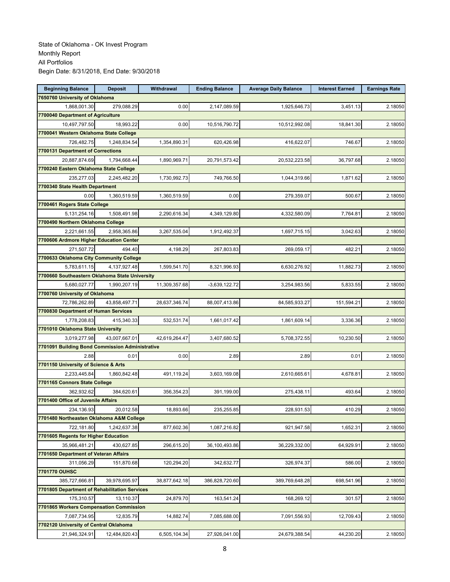| <b>Beginning Balance</b>                        | <b>Deposit</b> | <b>Withdrawal</b> | <b>Ending Balance</b> | <b>Average Daily Balance</b> | <b>Interest Earned</b> | <b>Earnings Rate</b> |
|-------------------------------------------------|----------------|-------------------|-----------------------|------------------------------|------------------------|----------------------|
| 7650760 University of Oklahoma                  |                |                   |                       |                              |                        |                      |
| 1,868,001.30                                    | 279,088.29     | 0.00              | 2,147,089.59          | 1,925,646.73                 | 3,451.13               | 2.18050              |
| 7700040 Department of Agriculture               |                |                   |                       |                              |                        |                      |
| 10,497,797.50                                   | 18,993.22      | 0.00              | 10,516,790.72         | 10,512,992.08                | 18,841.30              | 2.18050              |
| 7700041 Western Oklahoma State College          |                |                   |                       |                              |                        |                      |
| 726,482.75                                      | 1,248,834.54   | 1,354,890.31      | 620,426.98            | 416,622.07                   | 746.67                 | 2.18050              |
| 7700131 Department of Corrections               |                |                   |                       |                              |                        |                      |
| 20,887,874.69                                   | 1,794,668.44   | 1,890,969.71      | 20,791,573.42         | 20,532,223.58                | 36,797.68              | 2.18050              |
| 7700240 Eastern Oklahoma State College          |                |                   |                       |                              |                        |                      |
| 235,277.03                                      | 2,245,482.20   | 1,730,992.73      | 749,766.50            | 1,044,319.66                 | 1,871.62               | 2.18050              |
| 7700340 State Health Department                 |                |                   |                       |                              |                        |                      |
| 0.00                                            | 1,360,519.59   | 1,360,519.59      | 0.00                  | 279,359.07                   | 500.67                 | 2.18050              |
| 7700461 Rogers State College                    |                |                   |                       |                              |                        |                      |
| 5, 131, 254. 16                                 | 1,508,491.98   | 2,290,616.34      | 4,349,129.80          | 4,332,580.09                 | 7,764.81               | 2.18050              |
| 7700490 Northern Oklahoma College               |                |                   |                       |                              |                        |                      |
| 2,221,661.55                                    | 2,958,365.86   | 3,267,535.04      | 1,912,492.37          | 1,697,715.15                 | 3,042.63               | 2.18050              |
| 7700606 Ardmore Higher Education Center         |                |                   |                       |                              |                        |                      |
| 271,507.72                                      | 494.40         | 4,198.29          | 267,803.83            | 269,059.17                   | 482.21                 | 2.18050              |
| 7700633 Oklahoma City Community College         |                |                   |                       |                              |                        |                      |
| 5,783,611.15                                    | 4,137,927.48   | 1,599,541.70      | 8,321,996.93          | 6,630,276.92                 | 11,882.73              | 2.18050              |
| 7700660 Southeastern Oklahoma State University  |                |                   |                       |                              |                        |                      |
| 5,680,027.77                                    | 1,990,207.19   | 11,309,357.68     | $-3,639,122.72$       | 3,254,983.56                 | 5,833.55               | 2.18050              |
| 7700760 University of Oklahoma                  |                |                   |                       |                              |                        |                      |
| 72,786,262.89                                   | 43,858,497.71  | 28,637,346.74     | 88,007,413.86         | 84,585,933.27                | 151,594.21             | 2.18050              |
| 7700830 Department of Human Services            |                |                   |                       |                              |                        |                      |
| 1,778,208.83                                    | 415,340.33     | 532,531.74        | 1,661,017.42          | 1,861,609.14                 | 3,336.36               | 2.18050              |
| 7701010 Oklahoma State University               |                |                   |                       |                              |                        |                      |
| 3,019,277.98                                    | 43,007,667.01  | 42,619,264.47     | 3,407,680.52          | 5,708,372.55                 | 10,230.50              | 2.18050              |
| 7701091 Building Bond Commission Administrative |                |                   |                       |                              |                        |                      |
| 2.88                                            | 0.01           | 0.00              | 2.89                  | 2.89                         | 0.01                   | 2.18050              |
| 7701150 University of Science & Arts            |                |                   |                       |                              |                        |                      |
| 2,233,445.84                                    | 1,860,842.48   | 491,119.24        | 3,603,169.08          | 2,610,665.61                 | 4,678.81               | 2.18050              |
| 7701165 Connors State College                   |                |                   |                       |                              |                        |                      |
| 362,932.62                                      | 384,620.61     | 356,354.23        | 391,199.00            | 275,438.11                   | 493.64                 | 2.18050              |
| 7701400 Office of Juvenile Affairs              |                |                   |                       |                              |                        |                      |
| 234,136.93                                      | 20,012.58      | 18,893.66         | 235,255.85            | 228,931.53                   | 410.29                 | 2.18050              |
| 7701480 Northeasten Oklahoma A&M College        |                |                   |                       |                              |                        |                      |
| 722.181.80                                      | 1.242.637.38   | 877,602.36        | 1,087,216.82          | 921,947.58                   | 1,652.31               | 2.18050              |
| 7701605 Regents for Higher Education            |                |                   |                       |                              |                        |                      |
| 35,966,481.21                                   | 430,627.85     | 296,615.20        | 36,100,493.86         | 36,229,332.00                | 64,929.91              | 2.18050              |
| 7701650 Department of Veteran Affairs           |                |                   |                       |                              |                        |                      |
| 311,056.29                                      | 151,870.68     | 120,294.20        | 342,632.77            | 326,974.37                   | 586.00                 | 2.18050              |
| 7701770 OUHSC                                   |                |                   |                       |                              |                        |                      |
| 385,727,666.81                                  | 39,978,695.97  | 38,877,642.18     | 386,828,720.60        | 389,769,648.28               | 698,541.96             | 2.18050              |
| 7701805 Department of Rehabilitation Services   |                |                   |                       |                              |                        |                      |
| 175,310.57                                      | 13,110.37      | 24,879.70         | 163,541.24            | 168,269.12                   | 301.57                 | 2.18050              |
| 7701865 Workers Compensation Commission         |                |                   |                       |                              |                        |                      |
| 7,087,734.95                                    | 12,835.79      | 14,882.74         | 7,085,688.00          | 7,091,556.93                 | 12,709.43              | 2.18050              |
| 7702120 University of Central Oklahoma          |                |                   |                       |                              |                        |                      |
| 21,946,324.91                                   | 12,484,820.43  | 6,505,104.34      | 27,926,041.00         | 24,679,388.54                | 44,230.20              | 2.18050              |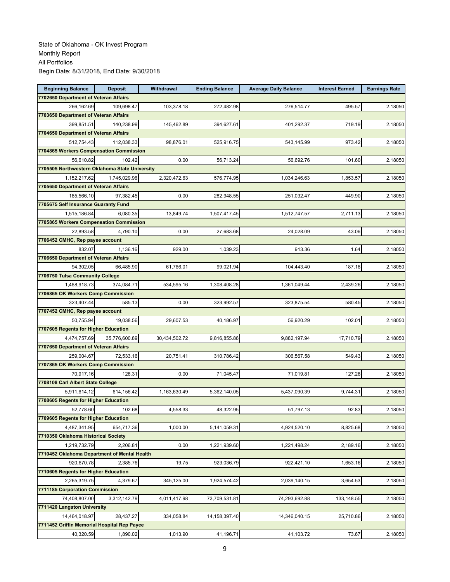| <b>Beginning Balance</b>                       | <b>Deposit</b> | Withdrawal    | <b>Ending Balance</b> | <b>Average Daily Balance</b> | <b>Interest Earned</b> | <b>Earnings Rate</b> |
|------------------------------------------------|----------------|---------------|-----------------------|------------------------------|------------------------|----------------------|
| 7702650 Department of Veteran Affairs          |                |               |                       |                              |                        |                      |
| 266,162.69                                     | 109,698.47     | 103,378.18    | 272,482.98            | 276,514.77                   | 495.57                 | 2.18050              |
| 7703650 Department of Veteran Affairs          |                |               |                       |                              |                        |                      |
| 399,851.51                                     | 140,238.99     | 145,462.89    | 394,627.61            | 401,292.37                   | 719.19                 | 2.18050              |
| 7704650 Department of Veteran Affairs          |                |               |                       |                              |                        |                      |
| 512,754.43                                     | 112,038.33     | 98,876.01     | 525,916.75            | 543,145.99                   | 973.42                 | 2.18050              |
| 7704865 Workers Compensation Commission        |                |               |                       |                              |                        |                      |
| 56,610.82                                      | 102.42         | 0.00          | 56,713.24             | 56,692.76                    | 101.60                 | 2.18050              |
| 7705505 Northwestern Oklahoma State University |                |               |                       |                              |                        |                      |
| 1,152,217.62                                   | 1,745,029.96   | 2,320,472.63  | 576,774.95            | 1,034,246.63                 | 1,853.57               | 2.18050              |
| 7705650 Department of Veteran Affairs          |                |               |                       |                              |                        |                      |
| 185,566.10                                     | 97,382.45      | 0.00          | 282,948.55            | 251,032.47                   | 449.90                 | 2.18050              |
| 7705675 Self Insurance Guaranty Fund           |                |               |                       |                              |                        |                      |
| 1,515,186.84                                   | 6,080.35       | 13,849.74     | 1,507,417.45          | 1,512,747.57                 | 2,711.13               | 2.18050              |
| 7705865 Workers Compensation Commission        |                |               |                       |                              |                        |                      |
| 22,893.58                                      | 4,790.10       | 0.00          | 27,683.68             | 24,028.09                    | 43.06                  | 2.18050              |
| 7706452 CMHC, Rep payee account                |                |               |                       |                              |                        |                      |
| 832.07                                         | 1,136.16       | 929.00        | 1,039.23              | 913.36                       | 1.64                   | 2.18050              |
| 7706650 Department of Veteran Affairs          |                |               |                       |                              |                        |                      |
| 94,302.05                                      | 66,485.90      | 61,766.01     | 99,021.94             | 104,443.40                   | 187.18                 | 2.18050              |
| 7706750 Tulsa Community College                |                |               |                       |                              |                        |                      |
| 1,468,918.73                                   | 374,084.71     | 534,595.16    | 1,308,408.28          | 1,361,049.44                 | 2,439.26               | 2.18050              |
| 7706865 OK Workers Comp Commission             |                |               |                       |                              |                        |                      |
| 323,407.44                                     | 585.13         | 0.00          | 323,992.57            | 323,875.54                   | 580.45                 | 2.18050              |
| 7707452 CMHC, Rep payee account                |                |               |                       |                              |                        |                      |
| 50,755.94                                      | 19,038.56      | 29,607.53     | 40,186.97             | 56,920.29                    | 102.01                 | 2.18050              |
| 7707605 Regents for Higher Education           |                |               |                       |                              |                        |                      |
| 4,474,757.69                                   | 35,776,600.89  | 30,434,502.72 | 9,816,855.86          | 9,882,197.94                 | 17,710.79              | 2.18050              |
| 7707650 Department of Veteran Affairs          |                |               |                       |                              |                        |                      |
| 259,004.67                                     | 72,533.16      | 20,751.41     | 310,786.42            | 306,567.58                   | 549.43                 | 2.18050              |
| 7707865 OK Workers Comp Commission             |                |               |                       |                              |                        |                      |
| 70,917.16                                      | 128.31         | 0.00          | 71,045.47             | 71,019.81                    | 127.28                 | 2.18050              |
| 7708108 Carl Albert State College              |                |               |                       |                              |                        |                      |
| 5,911,614.12                                   | 614,156.42     | 1,163,630.49  | 5,362,140.05          | 5,437,090.39                 | 9,744.31               | 2.18050              |
| 7708605 Regents for Higher Education           |                |               |                       |                              |                        |                      |
| 52,778.60                                      | 102.68         | 4,558.33      | 48,322.95             | 51,797.13                    | 92.83                  | 2.18050              |
| 7709605 Regents for Higher Education           |                |               |                       |                              |                        |                      |
| 4,487,341.95                                   | 654,717.36     | 1,000.00      | 5,141,059.31          | 4,924,520.10                 | 8,825.68               | 2.18050              |
| 7710350 Oklahoma Historical Society            |                |               |                       |                              |                        |                      |
| 1,219,732.79                                   | 2,206.81       | 0.00          | 1,221,939.60          | 1,221,498.24                 | 2,189.16               | 2.18050              |
| 7710452 Oklahoma Department of Mental Health   |                |               |                       |                              |                        |                      |
| 920,670.78                                     | 2.385.76       | 19.75         | 923,036.79            | 922,421.10                   | 1,653.16               | 2.18050              |
| 7710605 Regents for Higher Education           |                |               |                       |                              |                        |                      |
| 2,265,319.75                                   | 4,379.67       | 345,125.00    | 1,924,574.42          | 2,039,140.15                 | 3,654.53               | 2.18050              |
| 7711185 Corporation Commission                 |                |               |                       |                              |                        |                      |
| 74,408,807.00                                  | 3,312,142.79   | 4,011,417.98  | 73,709,531.81         | 74,293,692.88                | 133,148.55             | 2.18050              |
| 7711420 Langston University                    |                |               |                       |                              |                        |                      |
| 14,464,018.97                                  | 28,437.27      | 334,058.84    | 14, 158, 397.40       | 14,346,040.15                | 25,710.86              | 2.18050              |
| 7711452 Griffin Memorial Hospital Rep Payee    |                |               |                       |                              |                        |                      |
| 40,320.59                                      | 1,890.02       | 1,013.90      | 41,196.71             | 41,103.72                    | 73.67                  | 2.18050              |
|                                                |                |               |                       |                              |                        |                      |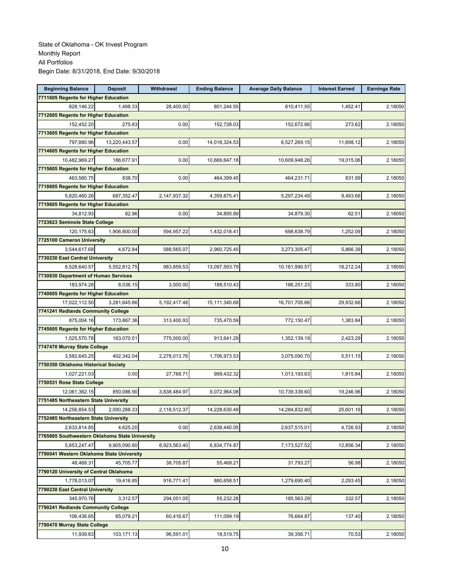| <b>Beginning Balance</b>                       | <b>Deposit</b> | Withdrawal   | <b>Ending Balance</b> | <b>Average Daily Balance</b> | <b>Interest Earned</b> | <b>Earnings Rate</b> |
|------------------------------------------------|----------------|--------------|-----------------------|------------------------------|------------------------|----------------------|
| 7711605 Regents for Higher Education           |                |              |                       |                              |                        |                      |
| 828.146.22                                     | 1.498.33       | 28,400.00    | 801,244.55            | 810,411.55                   | 1,452.41               | 2.18050              |
| 7712605 Regents for Higher Education           |                |              |                       |                              |                        |                      |
| 152,452.20                                     | 275.83         | 0.00         | 152,728.03            | 152,672.86                   | 273.62                 | 2.18050              |
| 7713605 Regents for Higher Education           |                |              |                       |                              |                        |                      |
| 797,880.96                                     | 13,220,443.57  | 0.00         | 14,018,324.53         | 6,527,269.15                 | 11,698.12              | 2.18050              |
| 7714605 Regents for Higher Education           |                |              |                       |                              |                        |                      |
| 10,482,969.27                                  | 186,677.91     | 0.00         | 10,669,647.18         | 10,609,948.26                | 19,015.06              | 2.18050              |
| 7715605 Regents for Higher Education           |                |              |                       |                              |                        |                      |
| 463,560.75                                     | 838.70         | 0.00         | 464,399.45            | 464,231.71                   | 831.99                 | 2.18050              |
| 7718605 Regents for Higher Education           |                |              |                       |                              |                        |                      |
| 5,820,460.26                                   | 687,352.47     | 2,147,937.32 | 4,359,875.41          | 5,297,234.49                 | 9,493.66               | 2.18050              |
| 7719605 Regents for Higher Education           |                |              |                       |                              |                        |                      |
| 34,812.93                                      | 82.96          | 0.00         | 34,895.89             | 34,879.30                    | 62.51                  | 2.18050              |
| 7723623 Seminole State College                 |                |              |                       |                              |                        |                      |
| 120,175.63                                     | 1,906,800.00   | 594,957.22   | 1,432,018.41          | 698,638.79                   | 1,252.09               | 2.18050              |
| 7725100 Cameron University                     |                |              |                       |                              |                        |                      |
| 3,544,617.68                                   | 4,672.84       | 588,565.07   | 2,960,725.45          | 3,273,305.47                 | 5,866.39               | 2.18050              |
| 7730230 East Central University                |                |              |                       |                              |                        |                      |
| 8,528,640.57                                   | 5,552,812.75   | 983,859.53   | 13,097,593.79         | 10,161,990.57                | 18,212.24              | 2.18050              |
| 7730830 Department of Human Services           |                |              |                       |                              |                        |                      |
| 183,974.28                                     | 8,036.15       | 3,500.00     | 188,510.43            | 186,251.23                   | 333.80                 | 2.18050              |
| 7740605 Regents for Higher Education           |                |              |                       |                              |                        |                      |
| 17,022,112.50                                  | 3,281,645.66   | 5,192,417.48 | 15,111,340.68         | 16,701,705.66                | 29,932.66              | 2.18050              |
| 7741241 Redlands Community College             |                |              |                       |                              |                        |                      |
| 875,004.16                                     | 173,867.36     | 313,400.93   | 735,470.59            | 772,150.47                   | 1,383.84               | 2.18050              |
| 7745605 Regents for Higher Education           |                |              |                       |                              |                        |                      |
| 1,525,570.78                                   | 163,070.51     | 775,000.00   | 913,641.29            | 1,352,139.19                 | 2,423.29               | 2.18050              |
| 7747470 Murray State College                   |                |              |                       |                              |                        |                      |
| 3,582,645.25                                   | 402,342.04     | 2,278,013.76 | 1,706,973.53          | 3,075,090.70                 | 5,511.15               | 2.18050              |
| 7750350 Oklahoma Historical Society            |                |              |                       |                              |                        |                      |
| 1,027,221.03                                   | 0.00           | 27,788.71    | 999,432.32            | 1,013,193.63                 | 1,815.84               | 2.18050              |
| 7750531 Rose State College                     |                |              |                       |                              |                        |                      |
| 12,061,362.15                                  | 850,086.90     | 3,838,484.97 | 9,072,964.08          | 10,739,339.60                | 19,246.96              | 2.18050              |
| 7751485 Northeastern State University          |                |              |                       |                              |                        |                      |
| 14,256,854.53                                  | 2,090,288.33   | 2,118,512.37 | 14,228,630.49         | 14,284,832.80                | 25,601.16              | 2.18050              |
| 7752485 Northeastern State University          |                |              |                       |                              |                        |                      |
| 2,633,814.85                                   | 4.625.20       | 0.00         | 2,638,440.05          | 2,637,515.01                 | 4,726.93               | 2.18050              |
| 7765665 Southwestern Oklahoma State University |                |              |                       |                              |                        |                      |
| 5,853,247.47                                   | 9,905,090.80   | 8,923,563.40 | 6,834,774.87          | 7,173,527.52                 | 12,856.34              | 2.18050              |
| 7790041 Western Oklahoma State University      |                |              |                       |                              |                        |                      |
| 48,468.31                                      | 45.705.77      | 38,705.87    | 55,468.21             | 31,793.27                    | 56.98                  | 2.18050              |
| 7790120 University of Central Oklahoma         |                |              |                       |                              |                        |                      |
| 1,778,013.07                                   | 19,416.85      | 916,771.41   | 880,658.51            | 1,279,690.40                 | 2,293.45               | 2.18050              |
| 7790230 East Central University                |                |              |                       |                              |                        |                      |
| 345,970.76                                     | 3,312.57       | 294,051.05   | 55,232.28             | 185,563.29                   | 332.57                 | 2.18050              |
| 7790241 Redlands Community College             |                |              |                       |                              |                        |                      |
| 106,436.65                                     | 65,079.21      | 60,416.67    | 111,099.19            | 76,664.87                    | 137.40                 | 2.18050              |
| 7790470 Murray State College                   |                |              |                       |                              |                        |                      |
| 11,939.63                                      | 103,171.13     | 96,591.01    | 18,519.75             | 39,356.71                    | 70.53                  | 2.18050              |
|                                                |                |              |                       |                              |                        |                      |